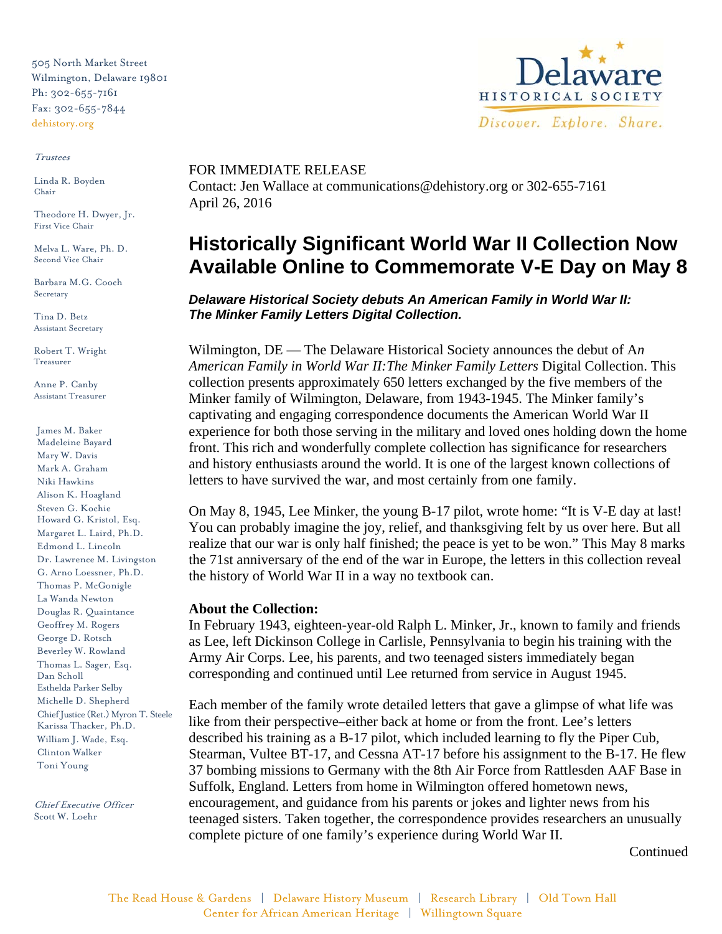505 North Market Street Wilmington, Delaware 19801 Ph: 302-655-7161 Fax: 302-655-7844 dehistory.org

#### Trustees

Linda R. Boyden Chair

Theodore H. Dwyer, Jr. First Vice Chair

Melva L. Ware, Ph. D. Second Vice Chair

Barbara M.G. Cooch Secretary

Tina D. Betz Assistant Secretary

Robert T. Wright Treasurer

Anne P. Canby Assistant Treasurer

James M. Baker Madeleine Bayard Mary W. Davis Mark A. Graham Niki Hawkins Alison K. Hoagland Steven G. Kochie Howard G. Kristol, Esq. Margaret L. Laird, Ph.D. Edmond L. Lincoln Dr. Lawrence M. Livingston G. Arno Loessner, Ph.D. Thomas P. McGonigle La Wanda Newton Douglas R. Quaintance Geoffrey M. Rogers George D. Rotsch Beverley W. Rowland Thomas L. Sager, Esq. Dan Scholl Esthelda Parker Selby Michelle D. Shepherd Chief Justice (Ret.) Myron T. Steele Karissa Thacker, Ph.D. William J. Wade, Esq. Clinton Walker Toni Young

Chief Executive Officer Scott W. Loehr



# FOR IMMEDIATE RELEASE

Contact: Jen Wallace at communications@dehistory.org or 302-655-7161 April 26, 2016

# **Historically Significant World War II Collection Now Available Online to Commemorate V-E Day on May 8**

*Delaware Historical Society debuts An American Family in World War II: The Minker Family Letters Digital Collection.*

Wilmington, DE — The Delaware Historical Society announces the debut of A*n American Family in World War II:The Minker Family Letters* Digital Collection. This collection presents approximately 650 letters exchanged by the five members of the Minker family of Wilmington, Delaware, from 1943-1945. The Minker family's captivating and engaging correspondence documents the American World War II experience for both those serving in the military and loved ones holding down the home front. This rich and wonderfully complete collection has significance for researchers and history enthusiasts around the world. It is one of the largest known collections of letters to have survived the war, and most certainly from one family.

On May 8, 1945, Lee Minker, the young B-17 pilot, wrote home: "It is V-E day at last! You can probably imagine the joy, relief, and thanksgiving felt by us over here. But all realize that our war is only half finished; the peace is yet to be won." This May 8 marks the 71st anniversary of the end of the war in Europe, the letters in this collection reveal the history of World War II in a way no textbook can.

### **About the Collection:**

In February 1943, eighteen-year-old Ralph L. Minker, Jr., known to family and friends as Lee, left Dickinson College in Carlisle, Pennsylvania to begin his training with the Army Air Corps. Lee, his parents, and two teenaged sisters immediately began corresponding and continued until Lee returned from service in August 1945.

Each member of the family wrote detailed letters that gave a glimpse of what life was like from their perspective–either back at home or from the front. Lee's letters described his training as a B-17 pilot, which included learning to fly the Piper Cub, Stearman, Vultee BT-17, and Cessna AT-17 before his assignment to the B-17. He flew 37 bombing missions to Germany with the 8th Air Force from Rattlesden AAF Base in Suffolk, England. Letters from home in Wilmington offered hometown news, encouragement, and guidance from his parents or jokes and lighter news from his teenaged sisters. Taken together, the correspondence provides researchers an unusually complete picture of one family's experience during World War II.

Continued